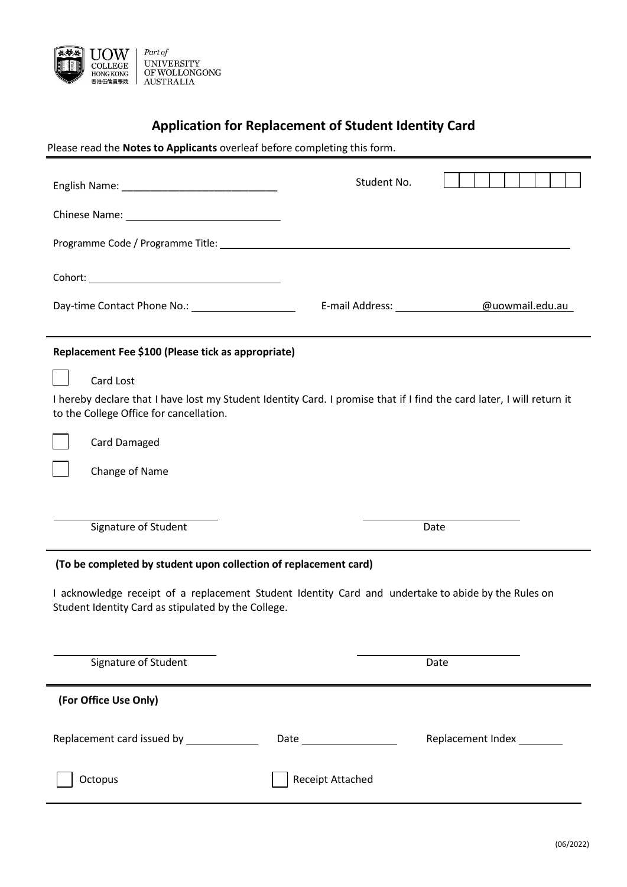

# **Application for Replacement of Student Identity Card**

Please read the **Notes to Applicants** overleaf before completing this form.

|                                                                                                                                                                                                                                | Student No.             |                                 |
|--------------------------------------------------------------------------------------------------------------------------------------------------------------------------------------------------------------------------------|-------------------------|---------------------------------|
|                                                                                                                                                                                                                                |                         |                                 |
|                                                                                                                                                                                                                                |                         |                                 |
|                                                                                                                                                                                                                                |                         |                                 |
| Day-time Contact Phone No.: 2000 2010 2021                                                                                                                                                                                     |                         | E-mail Address: @uowmail.edu.au |
| Replacement Fee \$100 (Please tick as appropriate)                                                                                                                                                                             |                         |                                 |
| Card Lost                                                                                                                                                                                                                      |                         |                                 |
| I hereby declare that I have lost my Student Identity Card. I promise that if I find the card later, I will return it<br>to the College Office for cancellation.                                                               |                         |                                 |
| Card Damaged                                                                                                                                                                                                                   |                         |                                 |
| Change of Name                                                                                                                                                                                                                 |                         |                                 |
|                                                                                                                                                                                                                                |                         |                                 |
| Signature of Student                                                                                                                                                                                                           |                         | Date                            |
| (To be completed by student upon collection of replacement card)<br>I acknowledge receipt of a replacement Student Identity Card and undertake to abide by the Rules on<br>Student Identity Card as stipulated by the College. |                         |                                 |
|                                                                                                                                                                                                                                |                         |                                 |
| Signature of Student                                                                                                                                                                                                           |                         | Date                            |
| (For Office Use Only)                                                                                                                                                                                                          |                         |                                 |
| Replacement card issued by ______________                                                                                                                                                                                      |                         | Replacement Index ________      |
| Octopus                                                                                                                                                                                                                        | <b>Receipt Attached</b> |                                 |